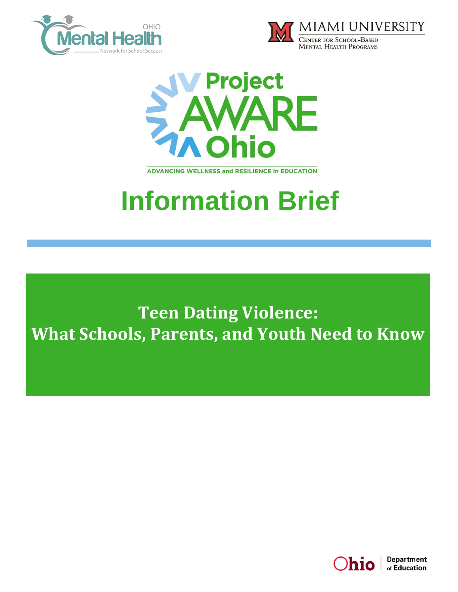





**ADVANCING WELLNESS and RESILIENCE In EDUCATION** 

# **Information Brief**

**Teen Dating Violence: What Schools, Parents, and Youth Need to Know**

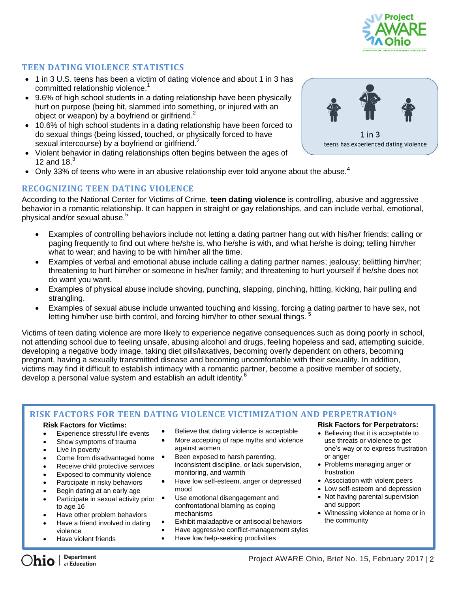

## **TEEN DATING VIOLENCE STATISTICS**

- 1 in 3 U.S. teens has been a victim of dating violence and about 1 in 3 has committed relationship violence.<sup>1</sup>
- 9.6% of high school students in a dating relationship have been physically hurt on purpose (being hit, slammed into something, or injured with an object or weapon) by a boyfriend or girlfriend.<sup>2</sup>
- 10.6% of high school students in a dating relationship have been forced to do sexual things (being kissed, touched, or physically forced to have sexual intercourse) by a boyfriend or girlfriend.<sup>2</sup>
- Violent behavior in dating relationships often begins between the ages of 12 and 18. $3$
- Only 33% of teens who were in an abusive relationship ever told anyone about the abuse.<sup>4</sup>

## **RECOGNIZING TEEN DATING VIOLENCE**

According to the National Center for Victims of Crime, **teen dating violence** is controlling, abusive and aggressive behavior in a romantic relationship. It can happen in straight or gay relationships, and can include verbal, emotional, physical and/or sexual abuse.<sup>5</sup>

- Examples of controlling behaviors include not letting a dating partner hang out with his/her friends; calling or paging frequently to find out where he/she is, who he/she is with, and what he/she is doing; telling him/her what to wear; and having to be with him/her all the time.
- Examples of verbal and emotional abuse include calling a dating partner names; jealousy; belittling him/her; threatening to hurt him/her or someone in his/her family; and threatening to hurt yourself if he/she does not do want you want.
- Examples of physical abuse include shoving, punching, slapping, pinching, hitting, kicking, hair pulling and strangling.
- Examples of sexual abuse include unwanted touching and kissing, forcing a dating partner to have sex, not letting him/her use birth control, and forcing him/her to other sexual things.

Victims of teen dating violence are more likely to experience negative consequences such as doing poorly in school, not attending school due to feeling unsafe, abusing alcohol and drugs, feeling hopeless and sad, attempting suicide, developing a negative body image, taking diet pills/laxatives, becoming overly dependent on others, becoming pregnant, having a sexually transmitted disease and becoming uncomfortable with their sexuality. In addition, victims may find it difficult to establish intimacy with a romantic partner, become a positive member of society, develop a personal value system and establish an adult identity.<sup>6</sup>

## **RISK FACTORS FOR TEEN DATING VIOLENCE VICTIMIZATION AND PERPETRATION<sup>6</sup>**

#### **Risk Factors for Victims:**

- Experience stressful life events
- Show symptoms of trauma
- Live in poverty
- Come from disadvantaged home
- Receive child protective services
- Exposed to community violence
- Participate in risky behaviors
- Begin dating at an early age
- Participate in sexual activity prior to age 16
- Have other problem behaviors
- Have a friend involved in dating violence
- Have violent friends
- Believe that dating violence is acceptable
- More accepting of rape myths and violence against women
- Been exposed to harsh parenting, inconsistent discipline, or lack supervision, monitoring, and warmth
- Have low self-esteem, anger or depressed mood
- Use emotional disengagement and confrontational blaming as coping mechanisms
- Exhibit maladaptive or antisocial behaviors
- Have aggressive conflict-management styles
- Have low help-seeking proclivities

## **Risk Factors for Perpetrators:**

- Believing that it is acceptable to use threats or violence to get one's way or to express frustration or anger
- Problems managing anger or frustration
- Association with violent peers
- Low self-esteem and depression
- Not having parental supervision and support
- Witnessing violence at home or in the community

i.

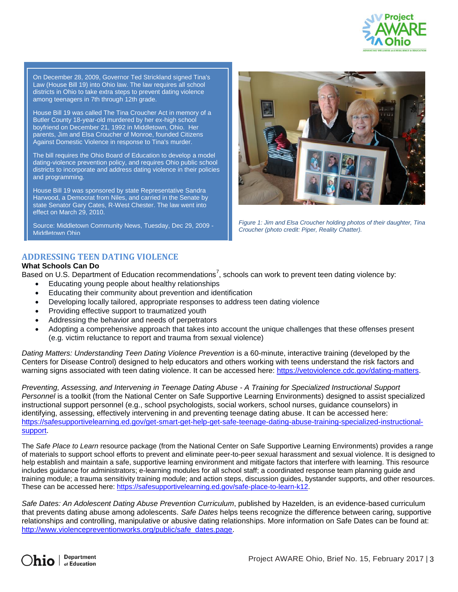

On December 28, 2009, Governor Ted Strickland signed Tina's Law (House Bill 19) into Ohio law. The law requires all school districts in Ohio to take extra steps to prevent dating violence among teenagers in 7th through 12th grade.

House Bill 19 was called The Tina Croucher Act in memory of a Butler County 18-year-old murdered by her ex-high school boyfriend on December 21, 1992 in Middletown, Ohio. Her parents, Jim and Elsa Croucher of Monroe, founded Citizens Against Domestic Violence in response to Tina's murder.

The bill requires the Ohio Board of Education to develop a model dating-violence prevention policy, and requires Ohio public school districts to incorporate and address dating violence in their policies and programming.

House Bill 19 was sponsored by state Representative Sandra Harwood, a Democrat from Niles, and carried in the Senate by state Senator Gary Cates, R-West Chester. The law went into effect on March 29, 2010.

Source: Middletown Community News, Tuesday, Dec 29, 2009 - Middletown Ohio



*Figure 1: Jim and Elsa Croucher holding photos of their daughter, Tina Croucher (photo credit: Piper, Reality Chatter).*

## **ADDRESSING TEEN DATING VIOLENCE**

## **What Schools Can Do**

Based on U.S. Department of Education recommendations<sup>7</sup>, schools can work to prevent teen dating violence by:

- Educating young people about healthy relationships
- Educating their community about prevention and identification
- Developing locally tailored, appropriate responses to address teen dating violence
- Providing effective support to traumatized youth
- Addressing the behavior and needs of perpetrators
- Adopting a comprehensive approach that takes into account the unique challenges that these offenses present (e.g. victim reluctance to report and trauma from sexual violence)

*[Dating Matters: Understanding Teen Dating Violence Prevention](http://www.vetoviolence.org/datingmatters)* is a 60-minute, interactive training (developed by the Centers for Disease Control) designed to help educators and others working with teens understand the risk factors and warning signs associated with teen dating violence. It can be accessed here: [https://vetoviolence.cdc.gov/dating-matters.](https://vetoviolence.cdc.gov/dating-matters)

*Preventing, Assessing, and Intervening in Teenage Dating Abuse - A Training for Specialized Instructional Support Personnel* is a toolkit (from the National Center on Safe Supportive Learning Environments) designed to assist specialized instructional support personnel (e.g., school psychologists, social workers, school nurses, guidance counselors) in identifying, assessing, effectively intervening in and preventing teenage dating abuse. It can be accessed here: [https://safesupportivelearning.ed.gov/get-smart-get-help-get-safe-teenage-dating-abuse-training-specialized-instructional](https://safesupportivelearning.ed.gov/get-smart-get-help-get-safe-teenage-dating-abuse-training-specialized-instructional-support)[support.](https://safesupportivelearning.ed.gov/get-smart-get-help-get-safe-teenage-dating-abuse-training-specialized-instructional-support)

The *Safe Place to Learn* resource package (from the National Center on Safe Supportive Learning Environments) provides a range of materials to support school efforts to prevent and eliminate peer-to-peer sexual harassment and sexual violence. It is designed to help establish and maintain a safe, supportive learning environment and mitigate factors that interfere with learning. This resource includes guidance for administrators; e-learning modules for all school staff; a coordinated response team planning guide and training module; a trauma sensitivity training module; and action steps, discussion guides, bystander supports, and other resources. These can be accessed here: [https://safesupportivelearning.ed.gov/safe-place-to-learn-k12.](https://safesupportivelearning.ed.gov/safe-place-to-learn-k12)

*Safe Dates: An Adolescent Dating Abuse Prevention Curriculum*, published by Hazelden, is an evidence-based curriculum that prevents dating abuse among adolescents. *Safe Dates* helps teens recognize the difference between caring, supportive relationships and controlling, manipulative or abusive dating relationships. More information on Safe Dates can be found at: [http://www.violencepreventionworks.org/public/safe\\_dates.page.](http://www.violencepreventionworks.org/public/safe_dates.page)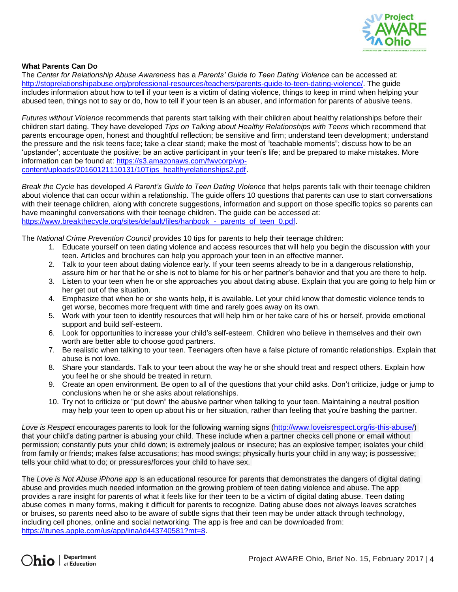

## **What Parents Can Do**

The *Center for Relationship Abuse Awareness* has a *Parents' Guide to Teen Dating Violence* can be accessed at: [http://stoprelationshipabuse.org/professional-resources/teachers/parents-guide-to-teen-dating-violence/.](http://stoprelationshipabuse.org/professional-resources/teachers/parents-guide-to-teen-dating-violence/) The guide includes information about how to tell if your teen is a victim of dating violence, things to keep in mind when helping your abused teen, things not to say or do, how to tell if your teen is an abuser, and information for parents of abusive teens.

*Futures without Violence* recommends that parents start talking with their children about healthy relationships before their children start dating. They have developed *Tips on Talking about Healthy Relationships with Teens* which recommend that parents encourage open, honest and thoughtful reflection; be sensitive and firm; understand teen development; understand the pressure and the risk teens face; take a clear stand; make the most of "teachable moments"; discuss how to be an 'upstander'; accentuate the positive; be an active participant in your teen's life; and be prepared to make mistakes. More information can be found at: [https://s3.amazonaws.com/fwvcorp/wp](https://s3.amazonaws.com/fwvcorp/wp-content/uploads/20160121110131/10Tips_healthyrelationships2.pdf)[content/uploads/20160121110131/10Tips\\_healthyrelationships2.pdf.](https://s3.amazonaws.com/fwvcorp/wp-content/uploads/20160121110131/10Tips_healthyrelationships2.pdf)

*Break the Cycle* has developed *A Parent's Guide to Teen Dating Violence* that helps parents talk with their teenage children about violence that can occur within a relationship. The guide offers 10 questions that parents can use to start conversations with their teenage children, along with concrete suggestions, information and support on those specific topics so parents can have meaningful conversations with their teenage children. The guide can be accessed at: https://www.breakthecycle.org/sites/default/files/hanbook - parents of teen 0.pdf.

The *National Crime Prevention Council* provides 10 tips for parents to help their teenage children:

- 1. Educate yourself on teen dating violence and access resources that will help you begin the discussion with your teen. Articles and brochures can help you approach your teen in an effective manner.
- 2. Talk to your teen about dating violence early. If your teen seems already to be in a dangerous relationship, assure him or her that he or she is not to blame for his or her partner's behavior and that you are there to help.
- 3. Listen to your teen when he or she approaches you about dating abuse. Explain that you are going to help him or her get out of the situation.
- 4. Emphasize that when he or she wants help, it is available. Let your child know that domestic violence tends to get worse, becomes more frequent with time and rarely goes away on its own.
- 5. Work with your teen to identify resources that will help him or her take care of his or herself, provide emotional support and build self-esteem.
- 6. Look for opportunities to increase your child's self-esteem. Children who believe in themselves and their own worth are better able to choose good partners.
- 7. Be realistic when talking to your teen. Teenagers often have a false picture of romantic relationships. Explain that abuse is not love.
- 8. Share your standards. Talk to your teen about the way he or she should treat and respect others. Explain how you feel he or she should be treated in return.
- 9. Create an open environment. Be open to all of the questions that your child asks. Don't criticize, judge or jump to conclusions when he or she asks about relationships.
- 10. Try not to criticize or "put down" the abusive partner when talking to your teen. Maintaining a neutral position may help your teen to open up about his or her situation, rather than feeling that you're bashing the partner.

*Love is Respect* encourages parents to look for the following warning signs [\(http://www.loveisrespect.org/is-this-abuse/\)](http://www.loveisrespect.org/is-this-abuse/) that your child's dating partner is abusing your child. These include when a partner checks cell phone or email without permission; constantly puts your child down; is extremely jealous or insecure; has an explosive temper; isolates your child from family or friends; makes false accusations; has mood swings; physically hurts your child in any way; is possessive; tells your child what to do; or pressures/forces your child to have sex.

The *[Love is Not Abuse iPhone app](https://itunes.apple.com/us/app/lina/id443740581?mt=8)* is an educational resource for parents that demonstrates the dangers of digital dating abuse and provides much needed information on the growing problem of teen dating violence and abuse. The app provides a rare insight for parents of what it feels like for their teen to be a victim of digital dating abuse. Teen dating abuse comes in many forms, making it difficult for parents to recognize. Dating abuse does not always leaves scratches or bruises, so parents need also to be aware of subtle signs that their teen may be under attack through technology, including cell phones, online and social networking. The app is free and can be downloaded from: [https://itunes.apple.com/us/app/lina/id443740581?mt=8.](https://itunes.apple.com/us/app/lina/id443740581?mt=8)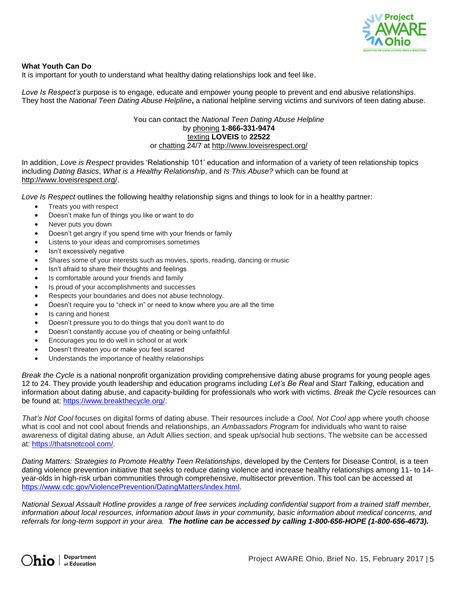

#### **What Youth Can Do**

It is important for youth to understand what healthy dating relationships look and feel like.

*Love Is Respect's* purpose is to engage, educate and empower young people to prevent and end abusive relationships. They host the *National Teen Dating Abuse Helpline***,** a national helpline serving victims and survivors of teen dating abuse.

## You can contact the *National Teen Dating Abuse Helpline* by phoning **1-866-331-9474** texting **LOVEIS** to **22522** or chatting 24/7 at<http://www.loveisrespect.org/>

In addition, *Love is Respect* provides 'Relationship 101' education and information of a variety of teen relationship topics including *Dating Basics*, *What is a Healthy Relationshi*p, and *Is This Abuse?* which can be found at [http://www.loveisrespect.org/.](http://www.loveisrespect.org/)

*Love Is Respect* outlines the following healthy relationship signs and things to look for in a healthy partner:

- Treats you with respect
- Doesn't make fun of things you like or want to do
- Never puts you down
- Doesn't get angry if you spend time with your friends or family
- Listens to your ideas and compromises sometimes
- Isn't excessively negative
- Shares some of your interests such as movies, sports, reading, dancing or music
- Isn't afraid to share their thoughts and feelings
- Is comfortable around your friends and family
- Is proud of your accomplishments and successes
- Respects your boundaries and does not abuse technology.
- Doesn't require you to "check in" or need to know where you are all the time
- Is caring and honest
- Doesn't pressure you to do things that you don't want to do
- Doesn't constantly accuse you of cheating or being unfaithful
- Encourages you to do well in school or at work
- Doesn't threaten you or make you feel scared
- Understands the importance of healthy relationships

*Break the Cycle* is a national nonprofit organization providing comprehensive dating abuse programs for young people ages 12 to 24. They provide youth leadership and education programs including *Let's Be Real* and *Start Talking*, education and information about dating abuse, and capacity-building for professionals who work with victims. *Break the Cycle* resources can be found at: [https://www.breakthecycle.org/.](https://www.breakthecycle.org/)

*That's Not Cool* focuses on digital forms of dating abuse. Their resources include a *Cool, Not Cool* app where youth choose what is cool and not cool about friends and relationships, an *Ambassadors Program* for individuals who want to raise awareness of digital dating abuse, an Adult Allies section, and speak up/social hub sections. The website can be accessed at: [https://thatsnotcool.com/.](https://thatsnotcool.com/)

*Dating Matters: Strategies to Promote Healthy Teen Relationships*, developed by the Centers for Disease Control, is a teen dating violence prevention initiative that seeks to reduce dating violence and increase healthy relationships among 11- to 14 year-olds in high-risk urban communities through comprehensive, multisector prevention. This tool can be accessed at [https://www.cdc.gov/ViolencePrevention/DatingMatters/index.html.](https://www.cdc.gov/ViolencePrevention/DatingMatters/index.html)

*National Sexual Assault Hotline provides a range of free services including confidential support from a trained staff member, information about local resources, information about laws in your community, basic information about medical concerns, and referrals for long-term support in your area. The hotline can be accessed by calling 1-800-656-HOPE (1-800-656-4673).*